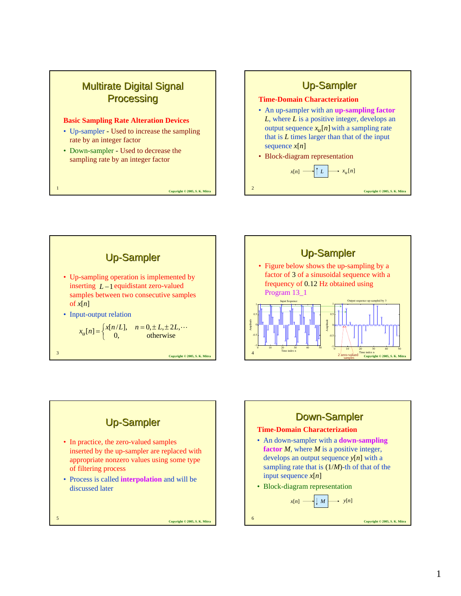

#### **Basic Sampling Rate Alteration Devices**

- Up-sampler Used to increase the sampling rate by an integer factor
- Down-sampler Used to decrease the sampling rate by an integer factor

**Copyright © 2005, S. K. Mitra** <sup>1</sup>



**Copyright © 2005, S. K. Mitra** <sup>2</sup>

**Copyright © 2005, S. K. Mitra Up-Sampler** • Up-sampling operation is implemented by inserting  $L-1$  equidistant zero-valued samples between two consecutive samples of  $x[n]$ • Input-output relation  $x_u[n] = \begin{cases} x[n/L], & n = 0, \pm L, \pm 2L, \cdots \\ 0, & \text{otherwise} \end{cases}$ 





• In practice, the zero-valued samples inserted by the up-sampler are replaced with appropriate nonzero values using some type of filtering process • Process is called **interpolation** and will be

**Up-Sampler** 

discussed later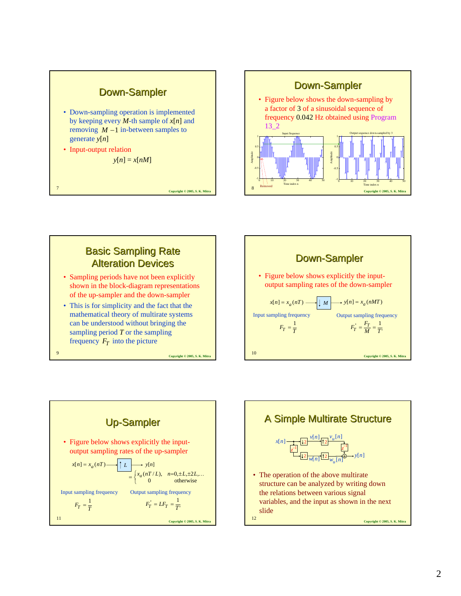









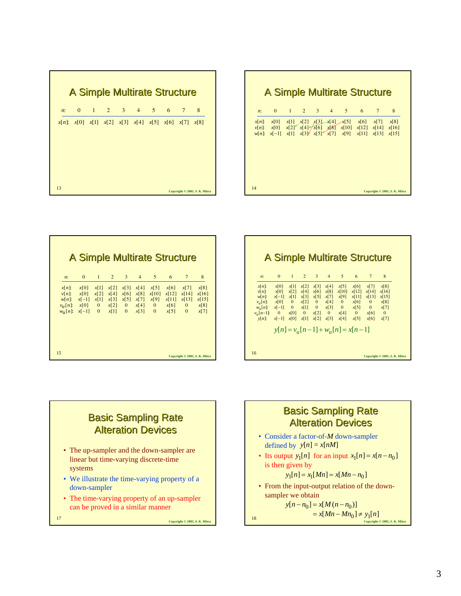|       |  |  | <b>A Simple Multirate Structure</b>                                     |  |                               |
|-------|--|--|-------------------------------------------------------------------------|--|-------------------------------|
| $n$ : |  |  | 0 1 2 3 4 5 6 7                                                         |  | 8                             |
|       |  |  | $x[n]$ : $x[0]$ $x[1]$ $x[2]$ $x[3]$ $x[4]$ $x[5]$ $x[6]$ $x[7]$ $x[8]$ |  |                               |
| 13    |  |  |                                                                         |  | Copyright © 2005, S. K. Mitra |

|                                   | <b>A Simple Multirate Structure</b> |              |                |             |               |                             |                                     |                |              |
|-----------------------------------|-------------------------------------|--------------|----------------|-------------|---------------|-----------------------------|-------------------------------------|----------------|--------------|
| $n$ :                             | $\mathbf{0}$                        | 1            | $\overline{2}$ | $3^{\circ}$ | $4 \quad$     | $5^{\circ}$                 | 6                                   | $\overline{7}$ | 8            |
| $x[n]$ :                          | x[0]                                | x[1]         | x[2]           |             | $x[3]$ $x[4]$ | x[5]                        | x[6]                                | $x[7]$ $x[8]$  |              |
| $v[n]:$ $x[0]$                    |                                     | x[2]         | x[4]           |             | $x[6]$ $x[8]$ | x[10]                       | $x[12]$ $x[14]$                     |                | x[16]        |
|                                   | $w[n]:$ $x[-1]$ $x[1]$              |              |                |             |               | $x[3]$ $x[5]$ $x[7]$ $x[9]$ | $x[11]$ $x[13]$ $x[15]$             |                |              |
| $v_u[n]$ : $x[0]$ 0<br>$W_u[n]$ : | $x[-1]$                             | $\mathbf{0}$ | x[1]           |             | $0 \t x[3]$   | $\mathbf{0}$                | $x[2]$ 0 $x[4]$ 0 $x[6]$ 0          | $x[5]$ 0       | x[8]<br>x[7] |
| $v_{\mu}$ [n-1]:                  | $\overline{\phantom{0}}$            | x[0]         | $\mathbf{0}$   | x[2]        | $\mathbf{0}$  | x[4]                        | $\mathbf{0}$                        | x[6]           | $\mathbf{0}$ |
| $v[n]$ :                          | $x[-1]$                             | x[0]         | x[1]           |             | $x[2]$ $x[3]$ | x[4]                        | x[5]                                | x[6]           | x[7]         |
|                                   |                                     |              |                |             |               |                             | $y[n] = v_u[n-1] + w_u[n] = x[n-1]$ |                |              |

**Copyright © 2005, S. K. Mitra** <sup>14</sup>

A Simple Multirate Structure

{n} x[0] x[1] x[2] x[3]-x[4] x[5] x[6] x[7] x[8]<br>{n} x[0] x[2] x[4] x[6] x[8] x[10] x[12] x[14] x[16]<br>{n} x[-1] x[1] x[3] x[5] x[7] x[9] x[11] x[13] x[15]

x[n]: x[0] x[1] x[2] x[3] x[4] x[5] x[6] x[7] x<br>v[n]: x[0] x[2] x[4] x[6] x[8] x[10] x[12] x[14] x[<br>w[n]: x[-1] x[1] x[3] x[5] x[7] x[9] x[11] x[13] x[

0] x[1] x[2] x[3]-x[4] x[5] x[6] x[7] x[8]<br>0] x[2] x[4] x[6] x[8] x[10] x[12] x[14] x[16<br>-1] x[1] x[3] x[5] x[7] x[9] x[11] x[13] x[15

0 1 2 3 4 5 6 7 8

: *n*

−

| <b>A Simple Multirate Structure</b>                |                                 |                                  |                              |                                  |                              |                                       |                                |                                    |                                |
|----------------------------------------------------|---------------------------------|----------------------------------|------------------------------|----------------------------------|------------------------------|---------------------------------------|--------------------------------|------------------------------------|--------------------------------|
| $n$ :                                              | $\Omega$                        | $\mathbf{1}$                     | $\overline{2}$               | 3                                | $\overline{4}$               | 5                                     | 6                              | $7\phantom{.0}$                    | 8                              |
| $x[n]$ :<br>$v[n]$ :<br>$w[n]$ :<br>$v_{\mu}[n]$ : | x[0]<br>x[0]<br>$x[-1]$<br>x[0] | x[1]<br>x[2]<br>x[1]<br>$\bf{0}$ | x[2]<br>x[4]<br>x[3]<br>x[2] | x[3]<br>x[6]<br>x[5]<br>$\bf{0}$ | x[4]<br>x[8]<br>x[7]<br>x[4] | x[5]<br>x[10]<br>x[9]<br>$\mathbf{0}$ | x[6]<br>x[12]<br>x[11]<br>x[6] | x[7]<br>x[14]<br>x[13]<br>$\theta$ | x[8]<br>x[16]<br>x[15]<br>x[8] |
| $W_{\mathcal{U}}[n]$ :                             | $x[-1]$                         | $\Omega$                         | x[1]                         | $\Omega$                         | x[3]                         | $\Omega$                              | x[5]                           | $\Omega$                           | x[7]                           |
|                                                    |                                 |                                  |                              |                                  |                              |                                       |                                |                                    |                                |
| 15                                                 |                                 |                                  |                              |                                  |                              |                                       |                                |                                    | Copyright © 2005, S. K. Mitra  |



• The time-varying property of an up-sampler can be proved in a similar manner

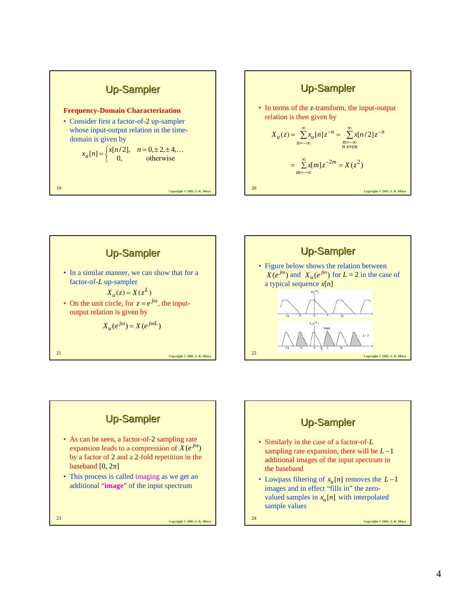









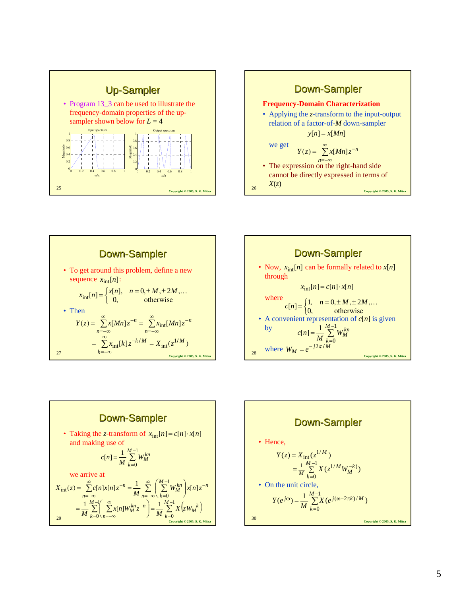









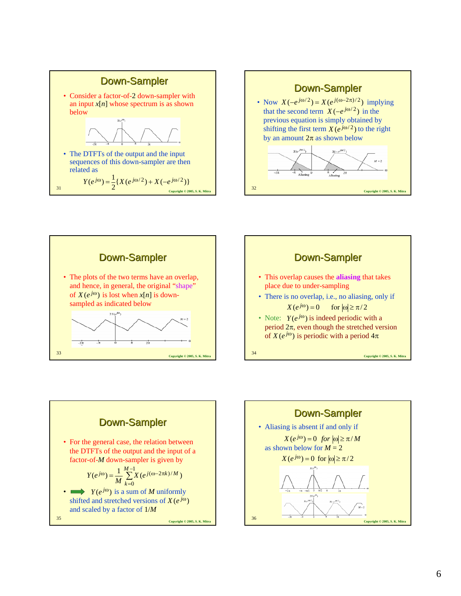









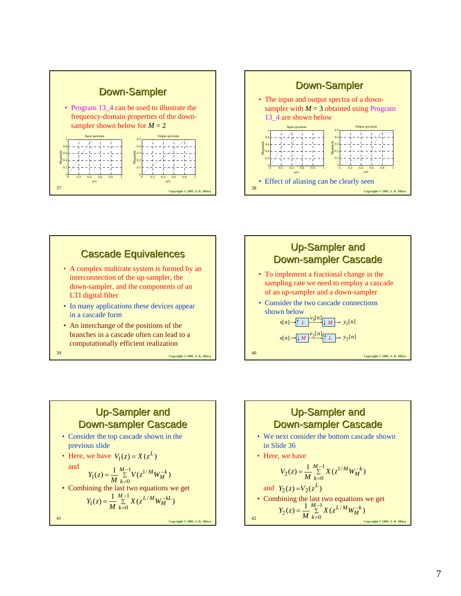





# Up-Sampler and **Down-sampler Cascade**

- Consider the top cascade shown in the previous slide
- Here, we have  $V_1(z) = X(z^L)$ and  $Y_1(z) = \frac{1}{M} \sum_{k=1}^{M-1} V(z^{1/M} W_M^{-k})$

$$
Y_1(z) = \frac{1}{M} \sum_{k=0}^{N} V(z^{1/M} W_M^{-k})
$$

• Combining the last two equations we get

$$
Y_1(z) = \frac{1}{M} \sum_{k=0}^{M-1} X(z^{L/M} W_M^{-kL})
$$

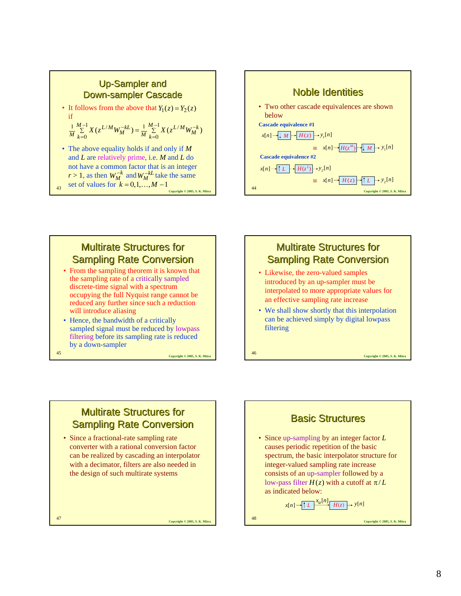



## **Multirate Structures for Sampling Rate Conversion**

- From the sampling theorem it is known that the sampling rate of a critically sampled discrete-time signal with a spectrum occupying the full Nyquist range cannot be reduced any further since such a reduction will introduce aliasing
- Hence, the bandwidth of a critically sampled signal must be reduced by lowpass filtering before its sampling rate is reduced by a down-sampler

**Multirate Structures for Sampling Rate Conversion** 

converter with a rational conversion factor can be realized by cascading an interpolator with a decimator, filters are also needed in the design of such multirate systems

• Since a fractional-rate sampling rate

**Copyright © 2005, S. K. Mitra** <sup>45</sup>

#### **Multirate Structures for Sampling Rate Conversion**

- Likewise, the zero-valued samples introduced by an up-sampler must be interpolated to more appropriate values for an effective sampling rate increase
- We shall show shortly that this interpolation can be achieved simply by digital lowpass filtering

**Copyright © 2005, S. K. Mitra** <sup>46</sup>

# **Copyright © 2005, S. K. Mitra** <sup>48</sup> **Basic Structures** • Since up-sampling by an integer factor *L* causes periodic repetition of the basic spectrum, the basic interpolator structure for integer-valued sampling rate increase consists of an up-sampler followed by a low-pass filter  $H(z)$  with a cutoff at  $\pi/L$ as indicated below:  $x[n]$   $\rightarrow$   $\uparrow$   $L$   $\rightarrow$   $\frac{x_u[n]}{H(z)}$   $\rightarrow$   $y[n]$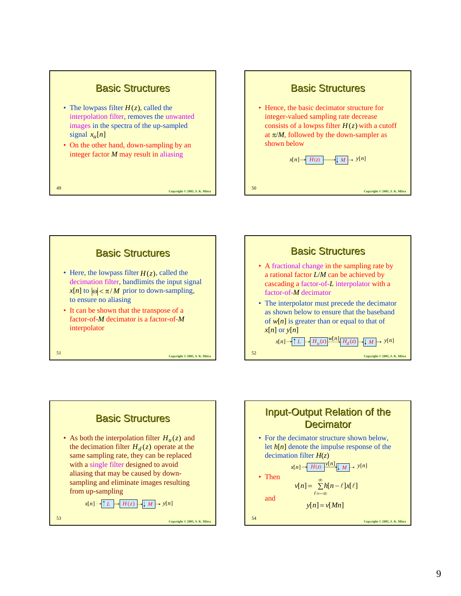#### **Basic Structures**

- The lowpass filter  $H(z)$ , called the interpolation filter, removes the unwanted images in the spectra of the up-sampled signal  $x_u[n]$
- On the other hand, down-sampling by an integer factor *M* may result in aliasing







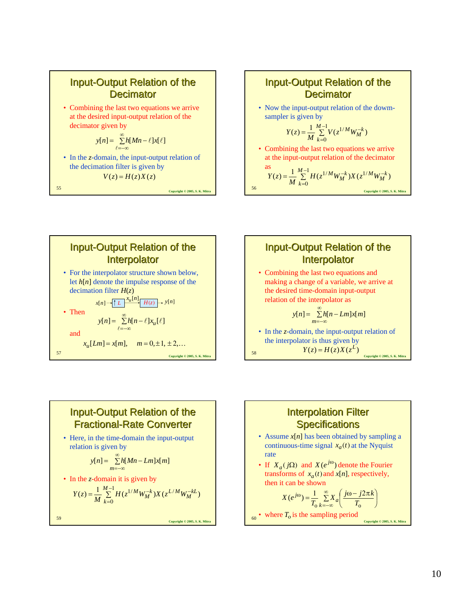Input-Output Relation of the Output Relation of the Decimator Decimator

• Combining the last two equations we arrive at the desired input-output relation of the decimator given by

$$
y[n] = \sum_{\ell=-\infty}^{\infty} h[Mn-\ell]x[\ell]
$$

• In the *z*-domain, the input-output relation of the decimation filter is given by

$$
V(z) = H(z)X(z)
$$

**Copyright © 2005, S. K. Mitra** <sup>55</sup>



$$
Y(z) = \frac{1}{M} \sum_{k=0}^{M-1} V(z^{1/M} W_M^{-k})
$$

• Combining the last two equations we arrive at the input-output relation of the decimator

as  
\n
$$
Y(z) = \frac{1}{M} \sum_{k=0}^{M-1} H(z^{1/M} W_M^{-k}) X(z^{1/M} W_M^{-k})
$$
\n<sub>Copyright</sub> 2005, S. K. Mitr





#### Input-Output Relation of the **Fractional-Rate Converter**

• Here, in the time-domain the input-output relation is given by

$$
y[n] = \sum_{m=-\infty}^{\infty} h[Mn - Lm]x[m]
$$

• In the *z*-domain it is given by

$$
Y(z) = \frac{1}{M} \sum_{k=0}^{M-1} H(z^{1/M} W_M^{-k}) X(z^{L/M} W_M^{-kL})
$$

**Copyright © 2005, S. K. Mitra** <sup>59</sup>



 $\bullet$  where  $T_0$  is the sampling period  $\frac{C_{\text{Oovright }} \otimes 2005, S. \text{K. Mitra}}{C_{\text{Oovright}}}$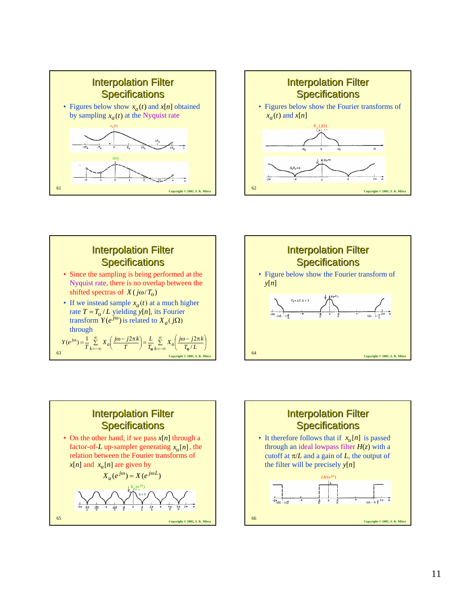









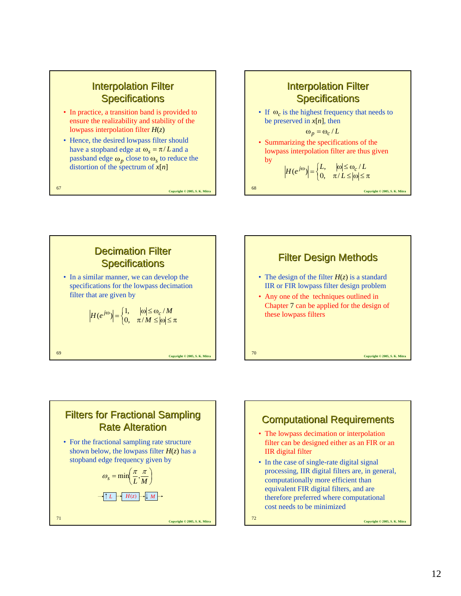#### **Interpolation Filter Specifications**

- In practice, a transition band is provided to ensure the realizability and stability of the lowpass interpolation filter *H*(*z*)
- Hence, the desired lowpass filter should have a stopband edge at  $\omega_s = \pi / L$  and a passband edge  $\omega_p$  close to  $\omega_s$  to reduce the distortion of the spectrum of *x*[*n*]

**Copyright © 2005, S. K. Mitra** <sup>67</sup>

**Interpolation Filter Specifications** • If  $\omega_c$  is the highest frequency that needs to be preserved in  $x[n]$ , then

by

• Summarizing the specifications of the lowpass interpolation filter are thus given  $\omega_p = \omega_c / L$ 

$$
\left| H(e^{j\omega}) \right| = \begin{cases} L, & |\omega| \le \omega_c / L \\ 0, & \pi / L \le |\omega| \le \pi \end{cases}
$$

**Copyright © 2005, S. K. Mitra** <sup>68</sup>

**Copyright © 2005, S. K. Mitra** <sup>69</sup> **Decimation Filter Specifications** • In a similar manner, we can develop the specifications for the lowpass decimation filter that are given by  $\left\{ \begin{matrix} 1 \\ 1 \\ 1 \end{matrix} \right\}$  $H(e^{j\omega}) = \begin{cases} 1, & |\omega| \le \omega_c / M \\ 0, & \pi / M \le |\omega| \le \pi \end{cases}$ 





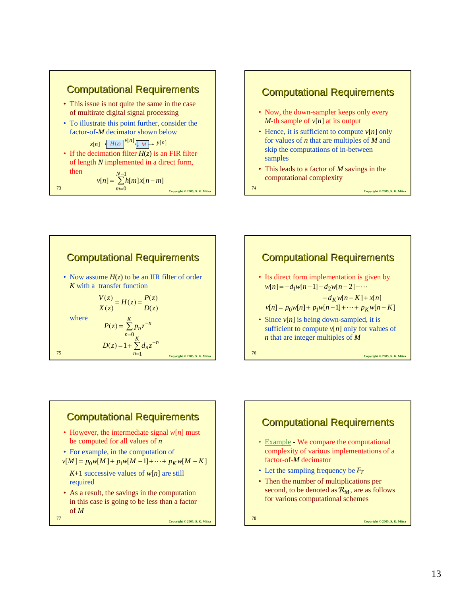









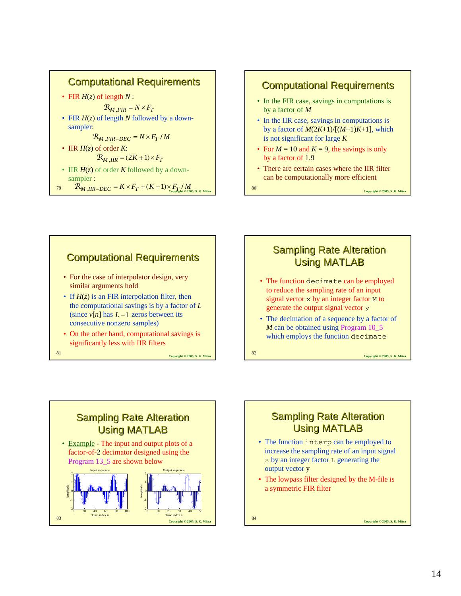

#### **Computational Requirements**

- In the FIR case, savings in computations is by a factor of *M*
- In the IIR case, savings in computations is by a factor of  $M(2K+1)/[(M+1)K+1]$ , which is not significant for large *K*
- For  $M = 10$  and  $K = 9$ , the savings is only by a factor of 1.9
- There are certain cases where the IIR filter can be computationally more efficient



#### **Sampling Rate Alteration** Using MATLAB

- The function decimate can be employed to reduce the sampling rate of an input signal vector x by an integer factor M to generate the output signal vector y
- The decimation of a sequence by a factor of *M* can be obtained using Program 10\_5 which employs the function decimate

**Copyright © 2005, S. K. Mitra** <sup>82</sup>



# **Sampling Rate Alteration** Using MATLAB

- The function interp can be employed to increase the sampling rate of an input signal x by an integer factor L generating the output vector y
- The lowpass filter designed by the M-file is a symmetric FIR filter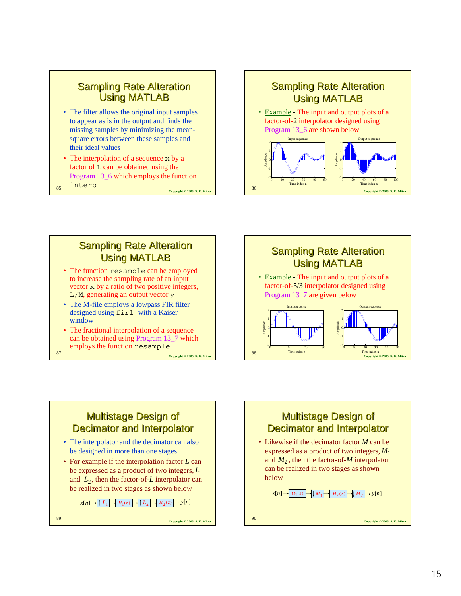#### **Sampling Rate Alteration** Using MATLAB

- The filter allows the original input samples to appear as is in the output and finds the missing samples by minimizing the meansquare errors between these samples and their ideal values
- **Copyright © 2005, S. K. Mitra** <sup>85</sup> • The interpolation of a sequence x by a factor of L can be obtained using the Program 13\_6 which employs the function interp
	-



## **Sampling Rate Alteration** Using MATLAB

- The function resample can be employed to increase the sampling rate of an input vector x by a ratio of two positive integers, L/M, generating an output vector y
- The M-file employs a lowpass FIR filter designed using fir1 with a Kaiser window
- The fractional interpolation of a sequence can be obtained using Program 13\_7 which employs the function resample

**Copyright © 2005, S. K. Mitr** $\text{Copyright}$  **© 2005, S. K. Mitr** 



#### **Multistage Design of** Decimator and Interpolator • The interpolator and the decimator can also

- be designed in more than one stages
- For example if the interpolation factor *L* can be expressed as a product of two integers, *L*1 and  $L_2$ , then the factor-of- $L$  interpolator can be realized in two stages as shown below

```
Copyright © 2005, S. K. Mitra 89
x[n] \rightarrow \uparrow L_1 \rightarrow H_1(z) \rightarrow \uparrow L_2 \rightarrow H_2(z) \rightarrow y[n]
```
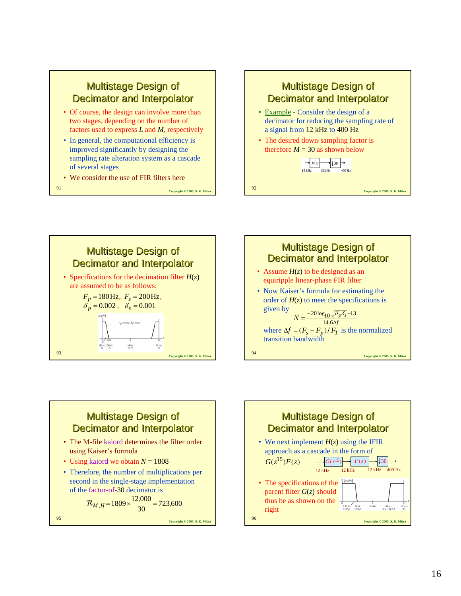

- Of course, the design can involve more than two stages, depending on the number of factors used to express *L* and *M*, respectively
- In general, the computational efficiency is improved significantly by designing the sampling rate alteration system as a cascade of several stages
- We consider the use of FIR filters here

**Copyright © 2005, S. K. Mitra** <sup>91</sup>



- Example Consider the design of a decimator for reducing the sampling rate of a signal from 12 kHz to 400 Hz
- The desired down-sampling factor is therefore  $M = 30$  as shown below

$$
H(z)
$$
  
12 kHz  
12 kHz  
400 Hz

**Copyright © 2005, S. K. Mitra** <sup>92</sup>





#### **Multistage Design of** Decimator and Interpolator

- The M-file kaiord determines the filter order using Kaiser's formula
- Using kaiord we obtain  $N = 1808$
- Therefore, the number of multiplications per second in the single-stage implementation of the factor-of-30 decimator is

$$
R_{M,H} = 1809 \times \frac{12,000}{30} = 723,600
$$

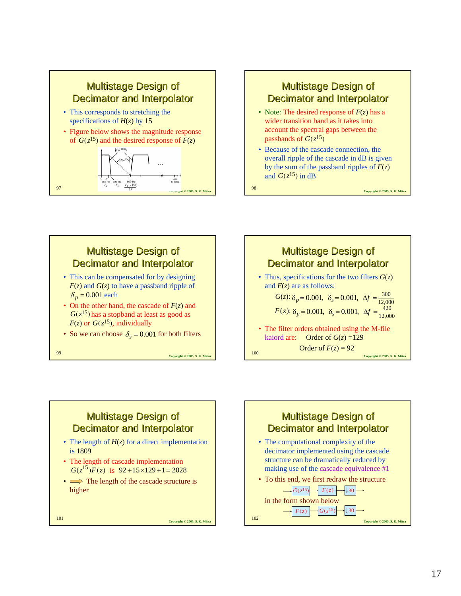

# Multistage Design of Multistage Design of Decimator and Interpolator

- Note: The desired response of *F*(*z*) has a wider transition band as it takes into account the spectral gaps between the passbands of  $G(z^{15})$
- Because of the cascade connection, the overall ripple of the cascade in dB is given by the sum of the passband ripples of *F*(*z*) and  $G(z^{15})$  in dB

**Copyright © 2005, S. K. Mitr** 

#### **Multistage Design of** Decimator and Interpolator • This can be compensated for by designing *F*(*z*) and *G*(*z*) to have a passband ripple of  $\delta_p = 0.001$  each • On the other hand, the cascade of *F*(*z*) and  $G(z^{15})$  has a stopband at least as good as  $F(z)$  or  $G(z^{15})$ , individually • So we can choose  $\delta_s = 0.001$  for both filters



# **Multistage Design of** Decimator and Interpolator

- The length of  $H(z)$  for a direct implementation is 1809
- The length of cascade implementation  $G(z^{15})F(z)$  is  $92+15\times 129+1=2028$
- $\implies$  The length of the cascade structure is higher

**Copyright © 2005, S. K. Mitra** <sup>101</sup>